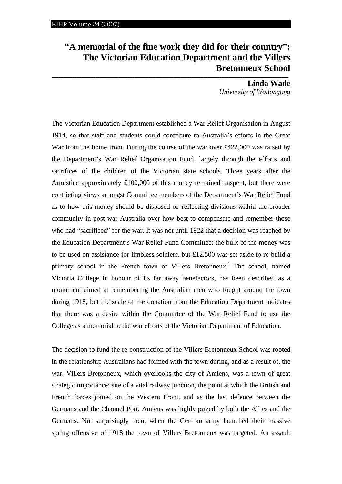## **"A memorial of the fine work they did for their country": The Victorian Education Department and the Villers**  Bretonneux School

**Linda Wade**  *University of Wollongong* 

The Victorian Education Department established a War Relief Organisation in August 1914, so that staff and students could contribute to Australia's efforts in the Great War from the home front. During the course of the war over £422,000 was raised by the Department's War Relief Organisation Fund, largely through the efforts and sacrifices of the children of the Victorian state schools. Three years after the Armistice approximately £100,000 of this money remained unspent, but there were conflicting views amongst Committee members of the Department's War Relief Fund as to how this money should be disposed of–reflecting divisions within the broader community in post-war Australia over how best to compensate and remember those who had "sacrificed" for the war. It was not until 1922 that a decision was reached by the Education Department's War Relief Fund Committee: the bulk of the money was to be used on assistance for limbless soldiers, but £12,500 was set aside to re-build a primary school in the French town of Villers Bretonneux.<sup>1</sup> The school, named Victoria College in honour of its far away benefactors, has been described as a monument aimed at remembering the Australian men who fought around the town during 1918, but the scale of the donation from the Education Department indicates that there was a desire within the Committee of the War Relief Fund to use the College as a memorial to the war efforts of the Victorian Department of Education.

The decision to fund the re-construction of the Villers Bretonneux School was rooted in the relationship Australians had formed with the town during, and as a result of, the war. Villers Bretonneux, which overlooks the city of Amiens, was a town of great strategic importance: site of a vital railway junction, the point at which the British and French forces joined on the Western Front, and as the last defence between the Germans and the Channel Port, Amiens was highly prized by both the Allies and the Germans. Not surprisingly then, when the German army launched their massive spring offensive of 1918 the town of Villers Bretonneux was targeted. An assault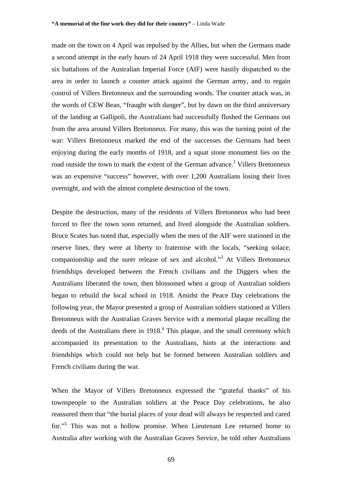made on the town on 4 April was repulsed by the Allies, but when the Germans made a second attempt in the early hours of 24 April 1918 they were successful. Men from six battalions of the Australian Imperial Force (AIF) were hastily dispatched to the area in order to launch a counter attack against the German army, and to regain control of Villers Bretonneux and the surrounding woods. The counter attack was, in the words of CEW Bean, "fraught with danger", but by dawn on the third anniversary of the landing at Gallipoli, the Australians had successfully flushed the Germans out from the area around Villers Bretonneux. For many, this was the turning point of the war: Villers Bretonneux marked the end of the successes the Germans had been enjoying during the early months of 1918, and a squat stone monument lies on the road outside the town to mark the extent of the German advance.<sup>2</sup> Villers Bretonneux was an expensive "success" however, with over 1,200 Australians losing their lives overnight, and with the almost complete destruction of the town.

Despite the destruction, many of the residents of Villers Bretonneux who had been forced to flee the town soon returned, and lived alongside the Australian soldiers. Bruce Scates has noted that, especially when the men of the AIF were stationed in the reserve lines, they were at liberty to fraternise with the locals, "seeking solace, companionship and the surer release of sex and alcohol."3 At Villers Bretonneux friendships developed between the French civilians and the Diggers when the Australians liberated the town, then blossomed when a group of Australian soldiers began to rebuild the local school in 1918. Amidst the Peace Day celebrations the following year, the Mayor presented a group of Australian soldiers stationed at Villers Bretonneux with the Australian Graves Service with a memorial plaque recalling the deeds of the Australians there in  $1918<sup>4</sup>$ . This plaque, and the small ceremony which accompanied its presentation to the Australians, hints at the interactions and friendships which could not help but be formed between Australian soldiers and French civilians during the war.

When the Mayor of Villers Bretonneux expressed the "grateful thanks" of his townspeople to the Australian soldiers at the Peace Day celebrations, he also reassured them that "the burial places of your dead will always be respected and cared for."<sup>5</sup> This was not a hollow promise. When Lieutenant Lee returned home to Australia after working with the Australian Graves Service, he told other Australians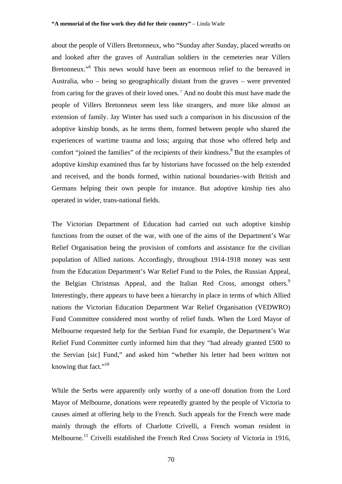about the people of Villers Bretonneux, who "Sunday after Sunday, placed wreaths on and looked after the graves of Australian soldiers in the cemeteries near Villers Bretonneux."<sup>6</sup> This news would have been an enormous relief to the bereaved in Australia, who – being so geographically distant from the graves – were prevented from caring for the graves of their loved ones**.** <sup>7</sup> And no doubt this must have made the people of Villers Bretonneux seem less like strangers, and more like almost an extension of family. Jay Winter has used such a comparison in his discussion of the adoptive kinship bonds, as he terms them, formed between people who shared the experiences of wartime trauma and loss; arguing that those who offered help and comfort "joined the families" of the recipients of their kindness.<sup>8</sup> But the examples of adoptive kinship examined thus far by historians have focussed on the help extended and received, and the bonds formed, within national boundaries–with British and Germans helping their own people for instance. But adoptive kinship ties also operated in wider, trans-national fields.

The Victorian Department of Education had carried out such adoptive kinship functions from the outset of the war, with one of the aims of the Department's War Relief Organisation being the provision of comforts and assistance for the civilian population of Allied nations. Accordingly, throughout 1914-1918 money was sent from the Education Department's War Relief Fund to the Poles, the Russian Appeal, the Belgian Christmas Appeal, and the Italian Red Cross, amongst others.<sup>9</sup> Interestingly, there appears to have been a hierarchy in place in terms of which Allied nations the Victorian Education Department War Relief Organisation (VEDWRO) Fund Committee considered most worthy of relief funds. When the Lord Mayor of Melbourne requested help for the Serbian Fund for example, the Department's War Relief Fund Committee curtly informed him that they "had already granted £500 to the Servian [sic] Fund," and asked him "whether his letter had been written not knowing that fact." $10$ 

While the Serbs were apparently only worthy of a one-off donation from the Lord Mayor of Melbourne, donations were repeatedly granted by the people of Victoria to causes aimed at offering help to the French. Such appeals for the French were made mainly through the efforts of Charlotte Crivelli, a French woman resident in Melbourne.<sup>11</sup> Crivelli established the French Red Cross Society of Victoria in 1916,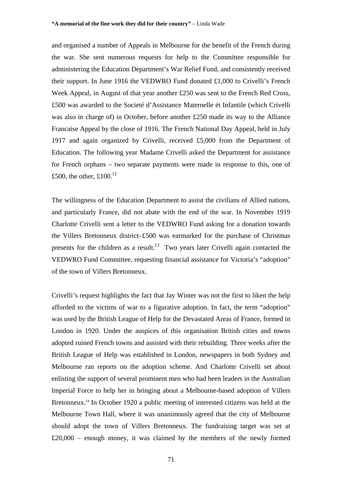and organised a number of Appeals in Melbourne for the benefit of the French during the war. She sent numerous requests for help to the Committee responsible for administering the Education Department's War Relief Fund, and consistently received their support. In June 1916 the VEDWRO Fund donated £1,000 to Crivelli's French Week Appeal, in August of that year another £250 was sent to the French Red Cross, £500 was awarded to the Societé d'Assistance Maternelle ét Infantile (which Crivelli was also in charge of) in October, before another £250 made its way to the Alliance Francaise Appeal by the close of 1916. The French National Day Appeal, held in July 1917 and again organized by Crivelli, received £5,000 from the Department of Education. The following year Madame Crivelli asked the Department for assistance for French orphans – two separate payments were made in response to this, one of £500, the other, £100. $^{12}$ 

The willingness of the Education Department to assist the civilians of Allied nations, and particularly France, did not abate with the end of the war. In November 1919 Charlotte Crivelli sent a letter to the VEDWRO Fund asking for a donation towards the Villers Bretonneux district–£500 was earmarked for the purchase of Christmas presents for the children as a result.<sup>13</sup> Two years later Crivelli again contacted the VEDWRO Fund Committee, requesting financial assistance for Victoria's "adoption" of the town of Villers Bretonneux.

Crivelli's request highlights the fact that Jay Winter was not the first to liken the help afforded to the victims of war to a figurative adoption. In fact, the term "adoption" was used by the British League of Help for the Devastated Areas of France, formed in London in 1920. Under the auspices of this organisation British cities and towns adopted ruined French towns and assisted with their rebuilding. Three weeks after the British League of Help was established in London, newspapers in both Sydney and Melbourne ran reports on the adoption scheme. And Charlotte Crivelli set about enlisting the support of several prominent men who had been leaders in the Australian Imperial Force to help her in bringing about a Melbourne-based adoption of Villers Bretonneux.<sup>14</sup> In October 1920 a public meeting of interested citizens was held at the Melbourne Town Hall, where it was unanimously agreed that the city of Melbourne should adopt the town of Villers Bretonneux. The fundraising target was set at £20,000 – enough money, it was claimed by the members of the newly formed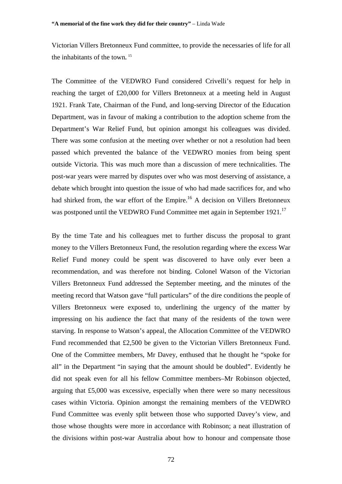Victorian Villers Bretonneux Fund committee, to provide the necessaries of life for all the inhabitants of the town**.** <sup>15</sup>

The Committee of the VEDWRO Fund considered Crivelli's request for help in reaching the target of £20,000 for Villers Bretonneux at a meeting held in August 1921. Frank Tate, Chairman of the Fund, and long-serving Director of the Education Department, was in favour of making a contribution to the adoption scheme from the Department's War Relief Fund, but opinion amongst his colleagues was divided. There was some confusion at the meeting over whether or not a resolution had been passed which prevented the balance of the VEDWRO monies from being spent outside Victoria. This was much more than a discussion of mere technicalities. The post-war years were marred by disputes over who was most deserving of assistance, a debate which brought into question the issue of who had made sacrifices for, and who had shirked from, the war effort of the Empire.<sup>16</sup> A decision on Villers Bretonneux was postponed until the VEDWRO Fund Committee met again in September 1921.<sup>17</sup>

By the time Tate and his colleagues met to further discuss the proposal to grant money to the Villers Bretonneux Fund, the resolution regarding where the excess War Relief Fund money could be spent was discovered to have only ever been a recommendation, and was therefore not binding. Colonel Watson of the Victorian Villers Bretonneux Fund addressed the September meeting, and the minutes of the meeting record that Watson gave "full particulars" of the dire conditions the people of Villers Bretonneux were exposed to, underlining the urgency of the matter by impressing on his audience the fact that many of the residents of the town were starving. In response to Watson's appeal, the Allocation Committee of the VEDWRO Fund recommended that £2,500 be given to the Victorian Villers Bretonneux Fund. One of the Committee members, Mr Davey, enthused that he thought he "spoke for all" in the Department "in saying that the amount should be doubled". Evidently he did not speak even for all his fellow Committee members–Mr Robinson objected, arguing that £5,000 was excessive, especially when there were so many necessitous cases within Victoria. Opinion amongst the remaining members of the VEDWRO Fund Committee was evenly split between those who supported Davey's view, and those whose thoughts were more in accordance with Robinson; a neat illustration of the divisions within post-war Australia about how to honour and compensate those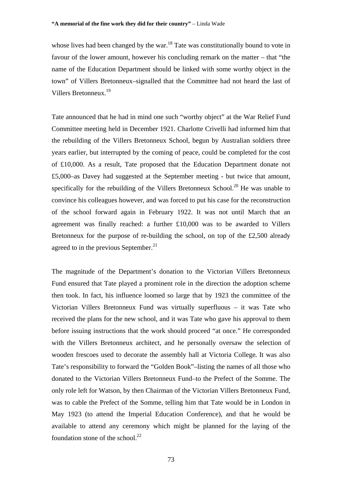whose lives had been changed by the war.<sup>18</sup> Tate was constitutionally bound to vote in favour of the lower amount, however his concluding remark on the matter – that "the name of the Education Department should be linked with some worthy object in the town" of Villers Bretonneux–signalled that the Committee had not heard the last of Villers Bretonneux.19

Tate announced that he had in mind one such "worthy object" at the War Relief Fund Committee meeting held in December 1921. Charlotte Crivelli had informed him that the rebuilding of the Villers Bretonneux School, begun by Australian soldiers three years earlier, but interrupted by the coming of peace, could be completed for the cost of £10,000. As a result, Tate proposed that the Education Department donate not £5,000–as Davey had suggested at the September meeting - but twice that amount, specifically for the rebuilding of the Villers Bretonneux School.<sup>20</sup> He was unable to convince his colleagues however, and was forced to put his case for the reconstruction of the school forward again in February 1922. It was not until March that an agreement was finally reached: a further £10,000 was to be awarded to Villers Bretonneux for the purpose of re-building the school, on top of the £2,500 already agreed to in the previous September. $^{21}$ 

The magnitude of the Department's donation to the Victorian Villers Bretonneux Fund ensured that Tate played a prominent role in the direction the adoption scheme then took. In fact, his influence loomed so large that by 1923 the committee of the Victorian Villers Bretonneux Fund was virtually superfluous – it was Tate who received the plans for the new school, and it was Tate who gave his approval to them before issuing instructions that the work should proceed "at once." He corresponded with the Villers Bretonneux architect, and he personally oversaw the selection of wooden frescoes used to decorate the assembly hall at Victoria College**.** It was also Tate's responsibility to forward the "Golden Book"–listing the names of all those who donated to the Victorian Villers Bretonneux Fund–to the Prefect of the Somme. The only role left for Watson, by then Chairman of the Victorian Villers Bretonneux Fund, was to cable the Prefect of the Somme, telling him that Tate would be in London in May 1923 (to attend the Imperial Education Conference), and that he would be available to attend any ceremony which might be planned for the laying of the foundation stone of the school. $^{22}$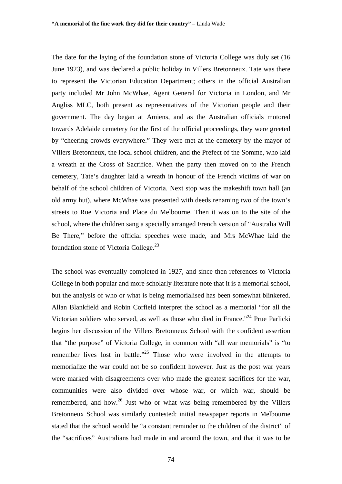The date for the laying of the foundation stone of Victoria College was duly set (16 June 1923), and was declared a public holiday in Villers Bretonneux. Tate was there to represent the Victorian Education Department; others in the official Australian party included Mr John McWhae, Agent General for Victoria in London, and Mr Angliss MLC, both present as representatives of the Victorian people and their government. The day began at Amiens, and as the Australian officials motored towards Adelaide cemetery for the first of the official proceedings, they were greeted by "cheering crowds everywhere." They were met at the cemetery by the mayor of Villers Bretonneux, the local school children, and the Prefect of the Somme, who laid a wreath at the Cross of Sacrifice. When the party then moved on to the French cemetery, Tate's daughter laid a wreath in honour of the French victims of war on behalf of the school children of Victoria. Next stop was the makeshift town hall (an old army hut), where McWhae was presented with deeds renaming two of the town's streets to Rue Victoria and Place du Melbourne. Then it was on to the site of the school, where the children sang a specially arranged French version of "Australia Will Be There," before the official speeches were made, and Mrs McWhae laid the foundation stone of Victoria College.<sup>23</sup>

The school was eventually completed in 1927, and since then references to Victoria College in both popular and more scholarly literature note that it is a memorial school, but the analysis of who or what is being memorialised has been somewhat blinkered. Allan Blankfield and Robin Corfield interpret the school as a memorial "for all the Victorian soldiers who served, as well as those who died in France."24 Prue Parlicki begins her discussion of the Villers Bretonneux School with the confident assertion that "the purpose" of Victoria College, in common with "all war memorials" is "to remember lives lost in battle."<sup>25</sup> Those who were involved in the attempts to memorialize the war could not be so confident however. Just as the post war years were marked with disagreements over who made the greatest sacrifices for the war, communities were also divided over whose war, or which war, should be remembered, and how.<sup>26</sup> Just who or what was being remembered by the Villers Bretonneux School was similarly contested: initial newspaper reports in Melbourne stated that the school would be "a constant reminder to the children of the district" of the "sacrifices" Australians had made in and around the town, and that it was to be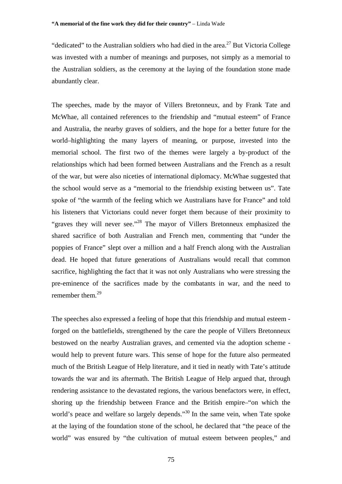"dedicated" to the Australian soldiers who had died in the area.<sup>27</sup> But Victoria College was invested with a number of meanings and purposes, not simply as a memorial to the Australian soldiers, as the ceremony at the laying of the foundation stone made abundantly clear.

The speeches, made by the mayor of Villers Bretonneux, and by Frank Tate and McWhae, all contained references to the friendship and "mutual esteem" of France and Australia, the nearby graves of soldiers, and the hope for a better future for the world–highlighting the many layers of meaning, or purpose, invested into the memorial school. The first two of the themes were largely a by-product of the relationships which had been formed between Australians and the French as a result of the war, but were also niceties of international diplomacy. McWhae suggested that the school would serve as a "memorial to the friendship existing between us". Tate spoke of "the warmth of the feeling which we Australians have for France" and told his listeners that Victorians could never forget them because of their proximity to "graves they will never see."<sup>28</sup> The mayor of Villers Bretonneux emphasized the shared sacrifice of both Australian and French men, commenting that "under the poppies of France" slept over a million and a half French along with the Australian dead. He hoped that future generations of Australians would recall that common sacrifice, highlighting the fact that it was not only Australians who were stressing the pre-eminence of the sacrifices made by the combatants in war, and the need to remember them.<sup>29</sup>

The speeches also expressed a feeling of hope that this friendship and mutual esteem forged on the battlefields, strengthened by the care the people of Villers Bretonneux bestowed on the nearby Australian graves, and cemented via the adoption scheme would help to prevent future wars. This sense of hope for the future also permeated much of the British League of Help literature, and it tied in neatly with Tate's attitude towards the war and its aftermath. The British League of Help argued that, through rendering assistance to the devastated regions, the various benefactors were, in effect, shoring up the friendship between France and the British empire–"on which the world's peace and welfare so largely depends."<sup>30</sup> In the same vein, when Tate spoke at the laying of the foundation stone of the school, he declared that "the peace of the world" was ensured by "the cultivation of mutual esteem between peoples," and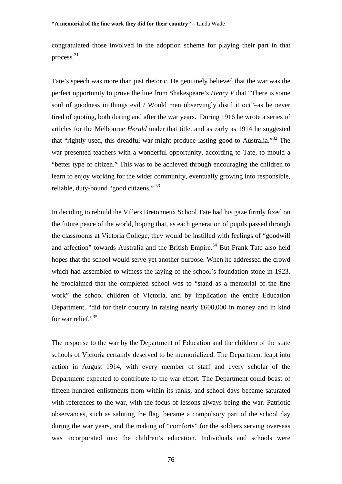congratulated those involved in the adoption scheme for playing their part in that process.31

Tate's speech was more than just rhetoric. He genuinely believed that the war was the perfect opportunity to prove the line from Shakespeare's *Henry V* that "There is some soul of goodness in things evil / Would men observingly distil it out"–as he never tired of quoting, both during and after the war years. During 1916 he wrote a series of articles for the Melbourne *Herald* under that title, and as early as 1914 he suggested that "rightly used, this dreadful war might produce lasting good to Australia."32 The war presented teachers with a wonderful opportunity, according to Tate, to mould a "better type of citizen." This was to be achieved through encouraging the children to learn to enjoy working for the wider community, eventually growing into responsible, reliable, duty-bound "good citizens." <sup>33</sup>

In deciding to rebuild the Villers Bretonneux School Tate had his gaze firmly fixed on the future peace of the world, hoping that, as each generation of pupils passed through the classrooms at Victoria College, they would be instilled with feelings of "goodwill and affection" towards Australia and the British Empire.<sup>34</sup> But Frank Tate also held hopes that the school would serve yet another purpose. When he addressed the crowd which had assembled to witness the laying of the school's foundation stone in 1923, he proclaimed that the completed school was to "stand as a memorial of the fine work" the school children of Victoria, and by implication the entire Education Department, "did for their country in raising nearly £600,000 in money and in kind for war relief."35

The response to the war by the Department of Education and the children of the state schools of Victoria certainly deserved to be memorialized. The Department leapt into action in August 1914, with every member of staff and every scholar of the Department expected to contribute to the war effort. The Department could boast of fifteen hundred enlistments from within its ranks, and school days became saturated with references to the war, with the focus of lessons always being the war. Patriotic observances, such as saluting the flag, became a compulsory part of the school day during the war years, and the making of "comforts" for the soldiers serving overseas was incorporated into the children's education. Individuals and schools were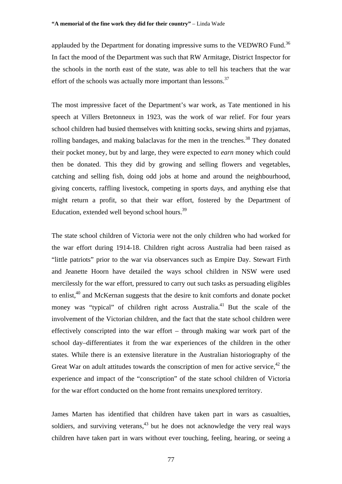applauded by the Department for donating impressive sums to the VEDWRO Fund.<sup>36</sup> In fact the mood of the Department was such that RW Armitage, District Inspector for the schools in the north east of the state, was able to tell his teachers that the war effort of the schools was actually more important than lessons. $37$ 

The most impressive facet of the Department's war work, as Tate mentioned in his speech at Villers Bretonneux in 1923, was the work of war relief. For four years school children had busied themselves with knitting socks, sewing shirts and pyjamas, rolling bandages, and making balaclavas for the men in the trenches.<sup>38</sup> They donated their pocket money, but by and large, they were expected to *earn* money which could then be donated. This they did by growing and selling flowers and vegetables, catching and selling fish, doing odd jobs at home and around the neighbourhood, giving concerts, raffling livestock, competing in sports days, and anything else that might return a profit, so that their war effort, fostered by the Department of Education, extended well beyond school hours.<sup>39</sup>

The state school children of Victoria were not the only children who had worked for the war effort during 1914-18. Children right across Australia had been raised as "little patriots" prior to the war via observances such as Empire Day. Stewart Firth and Jeanette Hoorn have detailed the ways school children in NSW were used mercilessly for the war effort, pressured to carry out such tasks as persuading eligibles to enlist,<sup>40</sup> and McKernan suggests that the desire to knit comforts and donate pocket money was "typical" of children right across Australia.<sup>41</sup> But the scale of the involvement of the Victorian children, and the fact that the state school children were effectively conscripted into the war effort – through making war work part of the school day–differentiates it from the war experiences of the children in the other states. While there is an extensive literature in the Australian historiography of the Great War on adult attitudes towards the conscription of men for active service, $42$  the experience and impact of the "conscription" of the state school children of Victoria for the war effort conducted on the home front remains unexplored territory.

James Marten has identified that children have taken part in wars as casualties, soldiers, and surviving veterans,  $43$  but he does not acknowledge the very real ways children have taken part in wars without ever touching, feeling, hearing, or seeing a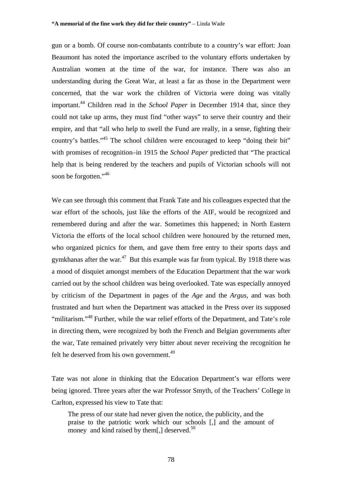gun or a bomb. Of course non-combatants contribute to a country's war effort: Joan Beaumont has noted the importance ascribed to the voluntary efforts undertaken by Australian women at the time of the war, for instance. There was also an understanding during the Great War, at least a far as those in the Department were concerned, that the war work the children of Victoria were doing was vitally important.44 Children read in the *School Paper* in December 1914 that, since they could not take up arms, they must find "other ways" to serve their country and their empire, and that "all who help to swell the Fund are really, in a sense, fighting their country's battles."45 The school children were encouraged to keep "doing their bit" with promises of recognition–in 1915 the *School Paper* predicted that "The practical help that is being rendered by the teachers and pupils of Victorian schools will not soon be forgotten."<sup>46</sup>

We can see through this comment that Frank Tate and his colleagues expected that the war effort of the schools, just like the efforts of the AIF, would be recognized and remembered during and after the war. Sometimes this happened; in North Eastern Victoria the efforts of the local school children were honoured by the returned men, who organized picnics for them, and gave them free entry to their sports days and gymkhanas after the war.<sup>47</sup>But this example was far from typical. By 1918 there was a mood of disquiet amongst members of the Education Department that the war work carried out by the school children was being overlooked. Tate was especially annoyed by criticism of the Department in pages of the *Age* and the *Argus*, and was both frustrated and hurt when the Department was attacked in the Press over its supposed "militarism."<sup>48</sup> Further, while the war relief efforts of the Department, and Tate's role in directing them, were recognized by both the French and Belgian governments after the war, Tate remained privately very bitter about never receiving the recognition he felt he deserved from his own government.<sup>49</sup>

Tate was not alone in thinking that the Education Department's war efforts were being ignored. Three years after the war Professor Smyth, of the Teachers' College in Carlton, expressed his view to Tate that:

The press of our state had never given the notice, the publicity, and the praise to the patriotic work which our schools [,] and the amount of money and kind raised by them[,] deserved.<sup>50</sup>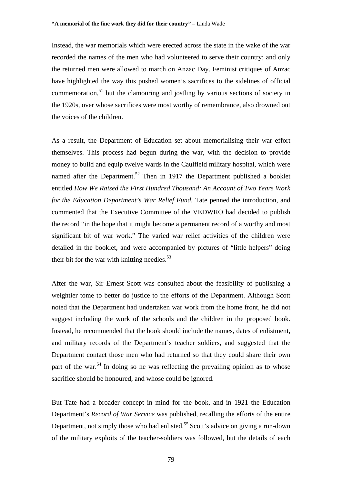Instead, the war memorials which were erected across the state in the wake of the war recorded the names of the men who had volunteered to serve their country; and only the returned men were allowed to march on Anzac Day. Feminist critiques of Anzac have highlighted the way this pushed women's sacrifices to the sidelines of official commemoration, $51$  but the clamouring and jostling by various sections of society in the 1920s, over whose sacrifices were most worthy of remembrance, also drowned out the voices of the children.

As a result, the Department of Education set about memorialising their war effort themselves. This process had begun during the war, with the decision to provide money to build and equip twelve wards in the Caulfield military hospital, which were named after the Department.<sup>52</sup> Then in 1917 the Department published a booklet entitled *How We Raised the First Hundred Thousand: An Account of Two Years Work for the Education Department's War Relief Fund.* Tate penned the introduction, and commented that the Executive Committee of the VEDWRO had decided to publish the record "in the hope that it might become a permanent record of a worthy and most significant bit of war work." The varied war relief activities of the children were detailed in the booklet, and were accompanied by pictures of "little helpers" doing their bit for the war with knitting needles. $53$ 

After the war, Sir Ernest Scott was consulted about the feasibility of publishing a weightier tome to better do justice to the efforts of the Department. Although Scott noted that the Department had undertaken war work from the home front, he did not suggest including the work of the schools and the children in the proposed book. Instead, he recommended that the book should include the names, dates of enlistment, and military records of the Department's teacher soldiers, and suggested that the Department contact those men who had returned so that they could share their own part of the war.<sup>54</sup> In doing so he was reflecting the prevailing opinion as to whose sacrifice should be honoured, and whose could be ignored.

But Tate had a broader concept in mind for the book, and in 1921 the Education Department's *Record of War Service* was published, recalling the efforts of the entire Department, not simply those who had enlisted.<sup>55</sup> Scott's advice on giving a run-down of the military exploits of the teacher-soldiers was followed, but the details of each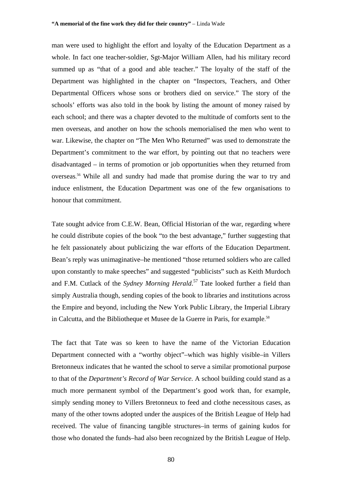man were used to highlight the effort and loyalty of the Education Department as a whole. In fact one teacher-soldier, Sgt-Major William Allen, had his military record summed up as "that of a good and able teacher." The loyalty of the staff of the Department was highlighted in the chapter on "Inspectors, Teachers, and Other Departmental Officers whose sons or brothers died on service." The story of the schools' efforts was also told in the book by listing the amount of money raised by each school; and there was a chapter devoted to the multitude of comforts sent to the men overseas, and another on how the schools memorialised the men who went to war. Likewise, the chapter on "The Men Who Returned" was used to demonstrate the Department's commitment to the war effort, by pointing out that no teachers were disadvantaged – in terms of promotion or job opportunities when they returned from overseas. <sup>56</sup> While all and sundry had made that promise during the war to try and induce enlistment, the Education Department was one of the few organisations to honour that commitment.

Tate sought advice from C.E.W. Bean, Official Historian of the war, regarding where he could distribute copies of the book "to the best advantage," further suggesting that he felt passionately about publicizing the war efforts of the Education Department. Bean's reply was unimaginative–he mentioned "those returned soldiers who are called upon constantly to make speeches" and suggested "publicists" such as Keith Murdoch and F.M. Cutlack of the *Sydney Morning Herald*. 57 Tate looked further a field than simply Australia though, sending copies of the book to libraries and institutions across the Empire and beyond, including the New York Public Library, the Imperial Library in Calcutta, and the Bibliotheque et Musee de la Guerre in Paris, for example. 58

The fact that Tate was so keen to have the name of the Victorian Education Department connected with a "worthy object"–which was highly visible–in Villers Bretonneux indicates that he wanted the school to serve a similar promotional purpose to that of the *Department's Record of War Service*. A school building could stand as a much more permanent symbol of the Department's good work than, for example, simply sending money to Villers Bretonneux to feed and clothe necessitous cases, as many of the other towns adopted under the auspices of the British League of Help had received. The value of financing tangible structures–in terms of gaining kudos for those who donated the funds–had also been recognized by the British League of Help.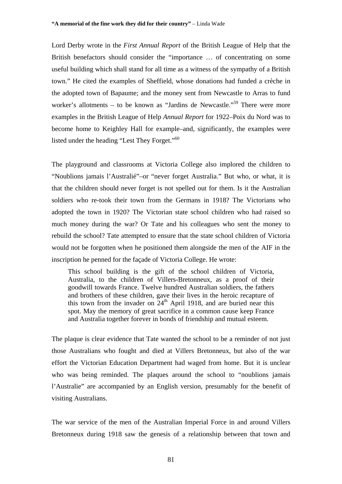Lord Derby wrote in the *First Annual Report* of the British League of Help that the British benefactors should consider the "importance … of concentrating on some useful building which shall stand for all time as a witness of the sympathy of a British town." He cited the examples of Sheffield, whose donations had funded a crèche in the adopted town of Bapaume; and the money sent from Newcastle to Arras to fund worker's allotments – to be known as "Jardins de Newcastle."<sup>59</sup> There were more examples in the British League of Help *Annual Report* for 1922–Poix du Nord was to become home to Keighley Hall for example–and, significantly, the examples were listed under the heading "Lest They Forget."60

The playground and classrooms at Victoria College also implored the children to "Noublions jamais l'Australié"–or "never forget Australia." But who, or what, it is that the children should never forget is not spelled out for them. Is it the Australian soldiers who re-took their town from the Germans in 1918? The Victorians who adopted the town in 1920? The Victorian state school children who had raised so much money during the war? Or Tate and his colleagues who sent the money to rebuild the school? Tate attempted to ensure that the state school children of Victoria would not be forgotten when he positioned them alongside the men of the AIF in the inscription he penned for the façade of Victoria College. He wrote:

This school building is the gift of the school children of Victoria, Australia, to the children of Villers-Bretonneux, as a proof of their goodwill towards France. Twelve hundred Australian soldiers, the fathers and brothers of these children, gave their lives in the heroic recapture of this town from the invader on  $24<sup>th</sup>$  April 1918, and are buried near this spot. May the memory of great sacrifice in a common cause keep France and Australia together forever in bonds of friendship and mutual esteem.

The plaque is clear evidence that Tate wanted the school to be a reminder of not just those Australians who fought and died at Villers Bretonneux, but also of the war effort the Victorian Education Department had waged from home. But it is unclear who was being reminded. The plaques around the school to "noublions jamais" l'Australie" are accompanied by an English version, presumably for the benefit of visiting Australians.

The war service of the men of the Australian Imperial Force in and around Villers Bretonneux during 1918 saw the genesis of a relationship between that town and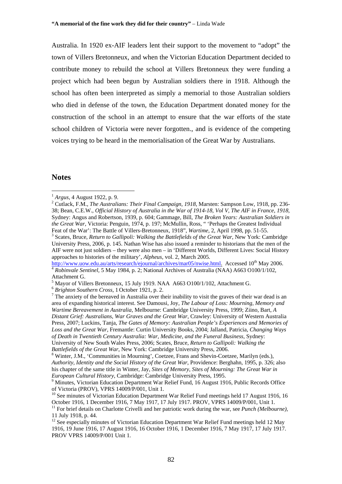Australia. In 1920 ex-AIF leaders lent their support to the movement to "adopt" the town of Villers Bretonneux, and when the Victorian Education Department decided to contribute money to rebuild the school at Villers Bretonneux they were funding a project which had been begun by Australian soldiers there in 1918. Although the school has often been interpreted as simply a memorial to those Australian soldiers who died in defense of the town, the Education Department donated money for the construction of the school in an attempt to ensure that the war efforts of the state school children of Victoria were never forgotten., and is evidence of the competing voices trying to be heard in the memorialisation of the Great War by Australians.

## **Notes**

 $\overline{a}$ 

 Scates, Bruce, *Return to Gallipoli: Walking the Battlefields of the Great War*, New York: Cambridge University Press, 2006, p. 145. Nathan Wise has also issued a reminder to historians that the men of the AIF were not just soldiers – they were also men – in 'Different Worlds, Different Lives: Social History approaches to histories of the military', *Alpheus*, vol. 2, March 2005.<br>http://www.uow.edu.au/arts/research/ejournal/archives/mar05/nwise.html. Accessed 10<sup>th</sup> Mav 2006.

<sup>4</sup> Robinvale Sentinel, 5 May 1984, p. 2; National Archives of Australia (NAA) A663 O100/1/102, Attachment G.

 $^{1}$  *Argus*, 4 August 1922, p. 9.

<sup>&</sup>lt;sup>2</sup> Cutlack, F.M., *The Australians: Their Final Campaign, 1918*, Marsten: Sampson Low, 1918, pp. 236-38; Bean, C.E.W., *Official History of Australia in the War of 1914-18, Vol V, The AIF in France, 1918,*  Sydney: Angus and Robertson, 1939, p. 604; Gammage, Bill, *The Broken Years: Australian Soldiers in the Great War,* Victoria: Penguin, 1974, p. 197; McMullin, Ross, " 'Perhaps the Greatest Individual Feat of the War': The Battle of Villers-Bretonneux, 1918", *Wartime*, 2, April 1998, pp. 51-55. 3

<sup>&</sup>lt;sup>5</sup> Mayor of Villers Bretonneux, 15 July 1919. NAA  $\overline{6}$  A663 O100/1/102, Attachment G.<br><sup>6</sup> *Brighton Southern Cross*, 1 October 1921, p. 2.<br><sup>7</sup> The enviety of the bereaugd in Australia over their insbility to visit th

 $\frac{6}{3}$  Brighton Southern Cross, 1 October 1921, p. 2.<br>The anxiety of the bereaved in Australia over their inability to visit the graves of their war dead is an area of expanding historical interest. See Damousi, Joy, *The Labour of Loss: Mourning, Memory and Wartime Bereavement in Australia*, Melbourne: Cambridge University Press, 1999; Ziino, Bart, *A Distant Grief: Australians, War Graves and the Great War,* Crawley: University of Western Australia Press, 2007; Luckins, Tanja, *The Gates of Memory: Australian People's Experiences and Memories of Loss and the Great War,* Fremantle: Curtin University Books, 2004; Jalland*,* Patricia, *Changing Ways of Death in Twentieth Century Australia: War, Medicine, and the Funeral Business,* Sydney: University of New South Wales Press, 2006; Scates, Bruce, *Return to Gallipoli: Walking the Battlefields of the Great War*, New York: Cambridge University Press, 2006.

Winter, J.M., 'Communities in Mourning', Coetzee, Frans and Shevin-Coetzee, Marilyn (eds.), *Authority, Identity and the Social History of the Great War*, Providence: Berghahn, 1995, p. 326; also his chapter of the same title in Winter, Jay, *Sites of Memory, Sites of Mourning: The Great War in European Cultural History, Cambridge: Cambridge University Press, 1995.* 

<sup>&</sup>lt;sup>9</sup> Minutes. Victorian Education Department War Relief Fund, 16 August 1916, Public Records Office of Victoria (PROV), VPRS 14009/P/001, Unit 1.

<sup>&</sup>lt;sup>10</sup> See minutes of Victorian Education Department War Relief Fund meetings held 17 August 1916, 16 October 1916, 1 December 1916, 7 May 1917, 17 July 1917. PROV, VPRS 14009/P/001, Unit 1.<br><sup>11</sup> For brief details on Charlotte Crivelli and her patriotic work during the war, see *Punch (Melbourne)*,

<sup>11</sup> July 1918, p. 44.

<sup>&</sup>lt;sup>12</sup> See especially minutes of Victorian Education Department War Relief Fund meetings held 12 May 1916, 19 June 1916, 17 August 1916, 16 October 1916, 1 December 1916, 7 May 1917, 17 July 1917. PROV VPRS 14009/P/001 Unit 1.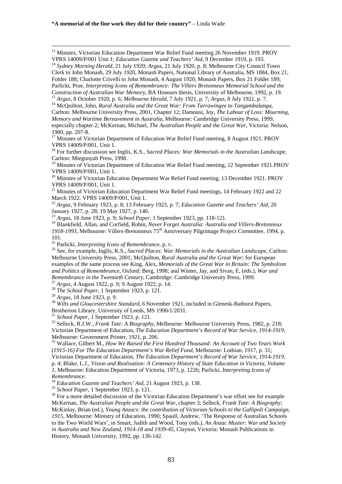<sup>13</sup> Minutes, Victorian Education Department War Relief Fund meeting 26 November 1919. PROV VPRS 14009/P/001 Unit 1; *Education Gazette and Teachers' Aid*, 9 December 1919, p. 193. <sup>14</sup> Sydney Morning Herald, 21 July 1920; Argus, 21 July 1920, p. 8; Melbourne City Council Town

Clerk to John Monash, 29 July 1920, Monash Papers, National Library of Australia, MS 1884, Box 21, Folder 188; Charlotte Crivelli to John Monash, 4 August 1920, Monash Papers, Box 21 Folder 189; Parlicki, Prue, *Interpreting Icons of Remembrance: The Villers Bretonneux Memorial School and the* 

Carlton: Melbourne University Press, 2001, Chapter 12; Damousi, Joy, *The Labour of Loss: Mourning, Memory and Wartime Bereavement in Australia,* Melbourne: Cambridge University Press, 1999, especially chapter 2; McKernan, Michael, *The Australian People and the Great War*, Victoria: Nelson, 1980, pp. 207-8.

<sup>17</sup> Minutes of Victorian Department of Education War Relief Fund meeting, 8 August 1921. PROV VPRS 14009/P/001, Unit 1.

18 For further discussion see Inglis, K.S., *Sacred Places: War Memorials in the Australian Landscape*, Carlton: Miegunyah Press, 1998.

<sup>19</sup> Minutes of Victorian Department of Education War Relief Fund meeting, 12 September 1921.PROV VPRS 14009/P/001, Unit 1.

 $20$  Minutes of Victorian Education Department War Relief Fund meeting, 13 December 1921. PROV VPRS 14009/P/001, Unit 1.

<sup>21</sup> Minutes of Victorian Education Department War Relief Fund meetings, 14 February 1922 and 22 March 1922. VPRS 14009/P/001, Unit 1.

<sup>22</sup> *Argus*, 9 February 1923, p. 8; 13 February 1923, p. 7; *Education Gazette and Teachers' Aid*, 20 January 1927, p. 28; 19 May 1927, p. 140.<br><sup>23</sup> Argus, 18 June 1923, p. 9; School Paper, 1 September 1923, pp. 118-121.

<sup>24</sup> Blankfield, Allan, and Corfield, Robin, *Never Forget Australia: Australia and Villers-Bretonneux 1918-1993*, Melbourne: Villers-Bretonneux 75th Anniversary Pilgrimage Project Committee, 1994, p. 101.<br><sup>25</sup> Parlicki, *Interpreting Icons of Remembrance*, p. v.

<sup>26</sup> See, for example, Inglis, K.S., *Sacred Places: War Memorials in the Australian Landscape*, Carlton: Melbourne University Press, 2001; McQuilton, *Rural Australia and the Great War*; for European examples of the same process see King, Alex, *Memorials of the Great War in Britain: The Symbolism and Politics of Remembrance*, Oxford: Berg, 1998; and Winter, Jay, and Sivan, E, (eds.), *War and Remembrance in the Twentieth Century*, Cambridge: Cambridge University Press, 1999.<br><sup>27</sup> *Argus*, 4 August 1922, p. 9; 9 August 1922, p. 14.<br><sup>28</sup> *The School Paper*, 1 September 1923, p. 121.<br><sup>29</sup> *Argus*, 18 June 1923, p

<sup>30</sup> *Wilts and Gloucestershire Standard*, 6 November 1921, included in Glenesk-Bathurst Papers, Brotherton Library, University of Leeds, MS 1990/1/2031.

<sup>31</sup> *School Paper*, 1 September 1923, p. 121.<br><sup>32</sup> Selleck, R.J.W., *Frank Tate: A Biography*, Melbourne: Melbourne University Press, 1982, p. 218; Victorian Department of Education, *The Education Department's Record of War Service, 1914-1919,* Melbourne: Government Printer, 1921, p. 206.

33 Wallace, Gilbert M., *How We Raised the First Hundred Thousand: An Account of Two Years Work (1915-16) For The Education Department's War Relief Fund*, Melbourne: Lothian, 1917, p. 31;

Victorian Department of Education, *The Education Department's Record of War Service, 1914-1919*,

p. 4; Blake, L.J., *Vision and Realisation: A Centenary History of State Education in Victoria, Volume 1,* Melbourne: Education Department of Victoria, 1973, p. 1226; Parlicki, *Interpreting Icons of* 

Remembrance.<br><sup>34</sup> Education Gazette and Teachers' Aid, 21 August 1923, p. 138.

<sup>34</sup> *Education Gazette and Teachers' Aid*, 21 August 1923, p. 138. 35 *School Paper*, 1 September 1923, p. 121. 36 For a more detailed discussion of the Victorian Education Department's war effort see for example McKernan, *The Australian People and the Great War*, chapter 3; Selleck, *Frank Tate: A Biography*; McKinlay, Brian (ed.), *Young Anzacs: the contribution of Victorian Schools to the Gallipoli Campaign, 1915*, Melbourne: Ministry of Education, 1990; Spaull, Andrew, 'The Response of Australian Schools to the Two World Wars', in Smart, Judith and Wood, Tony (eds*.), An Anzac Muster: War and Society in Australia and New Zealand, 1914-18 and 1939-45,* Clayton, Victoria: Monash Publications in History, Monash University, 1992, pp. 130-142.

Construction of Australian War Memory, BA Honours thesis, University of Melbourne, 1992, p. 19.<br><sup>15</sup> Argus, 8 October 1920, p. 6; Melbourne Herald, 7 July 1921, p. 7; Argus, 8 July 1921, p. 7.<br><sup>16</sup> McOuilton, John, *Rural*